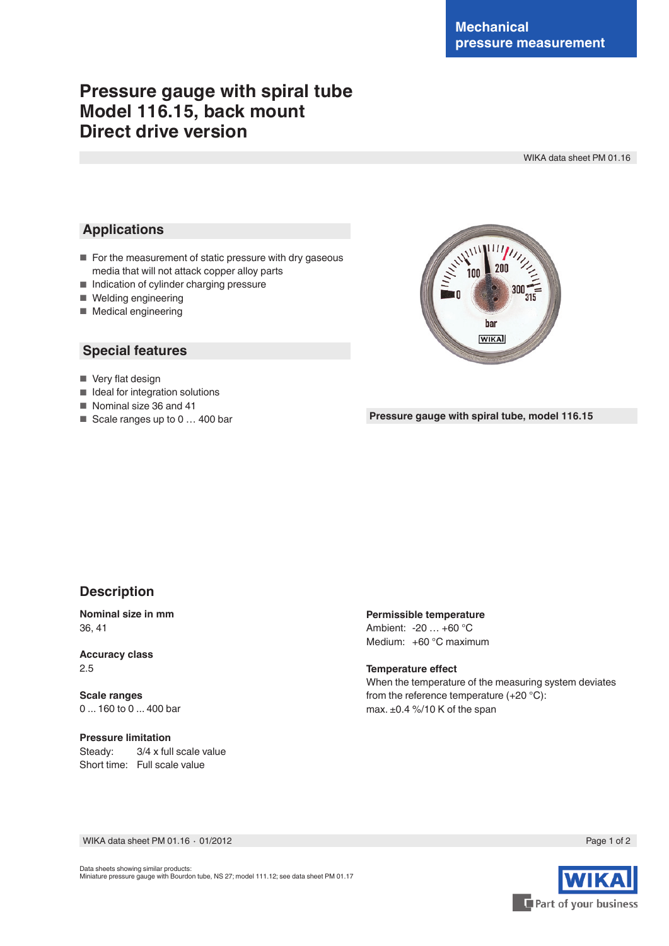# **Pressure gauge with spiral tube Model 116.15, back mount Direct drive version**

WIKA data sheet PM 01.16

### **Applications**

- For the measurement of static pressure with dry gaseous media that will not attack copper alloy parts
- Indication of cylinder charging pressure
- Welding engineering
- Medical engineering

# **Special features**

- Very flat design
- Ideal for integration solutions
- Nominal size 36 and 41
- Scale ranges up to 0 ... 400 bar

har **WIKA** 

#### **Pressure gauge with spiral tube, model 116.15**

#### **Description**

**Nominal size in mm** 36, 41

**Accuracy class** 2.5

**Scale ranges** 0 ... 160 to 0 ... 400 bar

**Pressure limitation** Steady: 3/4 x full scale value Short time: Full scale value

**Permissible temperature** Ambient: -20 … +60 °C Medium: +60 °C maximum

**Temperature effect** When the temperature of the measuring system deviates from the reference temperature (+20 °C): max. ±0.4 %/10 K of the span

WIKA data sheet PM 01.16 ⋅ 01/2012 Page 1 of 2



Data sheets showing similar products: Miniature pressure gauge with Bourdon tube, NS 27; model 111.12; see data sheet PM 01.17